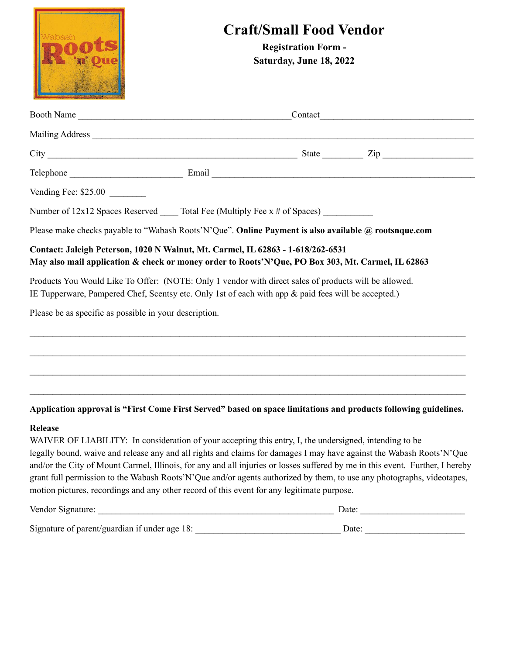| 'abash                                                 | <b>Craft/Small Food Vendor</b><br><b>Registration Form -</b><br>Saturday, June 18, 2022                                                                                                                                                                                                                                                                                                                                                                                                                                                                                                 |  |
|--------------------------------------------------------|-----------------------------------------------------------------------------------------------------------------------------------------------------------------------------------------------------------------------------------------------------------------------------------------------------------------------------------------------------------------------------------------------------------------------------------------------------------------------------------------------------------------------------------------------------------------------------------------|--|
|                                                        |                                                                                                                                                                                                                                                                                                                                                                                                                                                                                                                                                                                         |  |
|                                                        |                                                                                                                                                                                                                                                                                                                                                                                                                                                                                                                                                                                         |  |
|                                                        | $City$ $Zip$ $Zip$                                                                                                                                                                                                                                                                                                                                                                                                                                                                                                                                                                      |  |
|                                                        |                                                                                                                                                                                                                                                                                                                                                                                                                                                                                                                                                                                         |  |
| Vending Fee: \$25.00                                   |                                                                                                                                                                                                                                                                                                                                                                                                                                                                                                                                                                                         |  |
|                                                        | Number of 12x12 Spaces Reserved _____ Total Fee (Multiply Fee x # of Spaces) _________                                                                                                                                                                                                                                                                                                                                                                                                                                                                                                  |  |
|                                                        | Please make checks payable to "Wabash Roots' N'Que". Online Payment is also available @ rootsnque.com                                                                                                                                                                                                                                                                                                                                                                                                                                                                                   |  |
|                                                        | Contact: Jaleigh Peterson, 1020 N Walnut, Mt. Carmel, IL 62863 - 1-618/262-6531<br>May also mail application & check or money order to Roots'N'Que, PO Box 303, Mt. Carmel, IL 62863<br>Products You Would Like To Offer: (NOTE: Only 1 vendor with direct sales of products will be allowed.<br>IE Tupperware, Pampered Chef, Scentsy etc. Only 1st of each with app & paid fees will be accepted.)                                                                                                                                                                                    |  |
| Please be as specific as possible in your description. |                                                                                                                                                                                                                                                                                                                                                                                                                                                                                                                                                                                         |  |
|                                                        |                                                                                                                                                                                                                                                                                                                                                                                                                                                                                                                                                                                         |  |
|                                                        | Application approval is "First Come First Served" based on space limitations and products following guidelines.                                                                                                                                                                                                                                                                                                                                                                                                                                                                         |  |
| <b>Release</b>                                         | WAIVER OF LIABILITY: In consideration of your accepting this entry, I, the undersigned, intending to be<br>legally bound, waive and release any and all rights and claims for damages I may have against the Wabash Roots'N'Que<br>and/or the City of Mount Carmel, Illinois, for any and all injuries or losses suffered by me in this event. Further, I hereby<br>grant full permission to the Wabash Roots'N'Que and/or agents authorized by them, to use any photographs, videotapes,<br>motion pictures, recordings and any other record of this event for any legitimate purpose. |  |
|                                                        | Vendor Signature:<br>Date:                                                                                                                                                                                                                                                                                                                                                                                                                                                                                                                                                              |  |

| Signature of parent/guardian if under age 18: | Date: |
|-----------------------------------------------|-------|
|                                               |       |